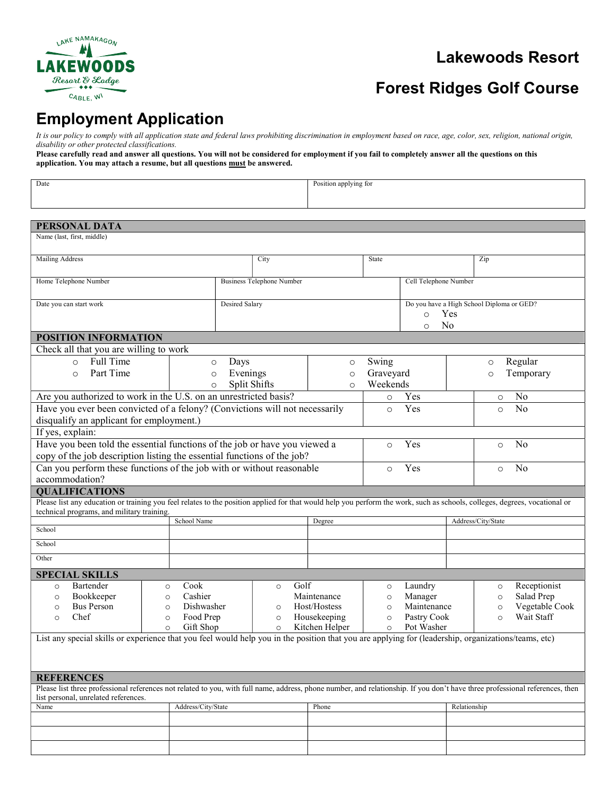

## Lakewoods Resort

## Forest Ridges Golf Course

## Employment Application

It is our policy to comply with all application state and federal laws prohibiting discrimination in employment based on race, age, color, sex, religion, national origin, disability or other protected classifications.

Please carefully read and answer all questions. You will not be considered for employment if you fail to completely answer all the questions on this application. You may attach a resume, but all questions must be answered.

| Date                                                                                                                                                                                                                     |                                                                                                       |                                  |                               |                                                                               | Position applying for                                                        |                                                                  |                                           |                                                            |  |
|--------------------------------------------------------------------------------------------------------------------------------------------------------------------------------------------------------------------------|-------------------------------------------------------------------------------------------------------|----------------------------------|-------------------------------|-------------------------------------------------------------------------------|------------------------------------------------------------------------------|------------------------------------------------------------------|-------------------------------------------|------------------------------------------------------------|--|
|                                                                                                                                                                                                                          |                                                                                                       |                                  |                               |                                                                               |                                                                              |                                                                  |                                           |                                                            |  |
|                                                                                                                                                                                                                          |                                                                                                       |                                  |                               |                                                                               |                                                                              |                                                                  |                                           |                                                            |  |
| PERSONAL DATA                                                                                                                                                                                                            |                                                                                                       |                                  |                               |                                                                               |                                                                              |                                                                  |                                           |                                                            |  |
| Name (last, first, middle)                                                                                                                                                                                               |                                                                                                       |                                  |                               |                                                                               |                                                                              |                                                                  |                                           |                                                            |  |
| Mailing Address                                                                                                                                                                                                          |                                                                                                       | City                             |                               | State                                                                         |                                                                              | Zip                                                              |                                           |                                                            |  |
| Home Telephone Number                                                                                                                                                                                                    |                                                                                                       | <b>Business Telephone Number</b> |                               |                                                                               |                                                                              | Cell Telephone Number                                            |                                           |                                                            |  |
| Date you can start work                                                                                                                                                                                                  | Desired Salary                                                                                        |                                  |                               |                                                                               | Do you have a High School Diploma or GED?<br>Yes<br>$\circ$<br>No<br>$\circ$ |                                                                  |                                           |                                                            |  |
| POSITION INFORMATION                                                                                                                                                                                                     |                                                                                                       |                                  |                               |                                                                               |                                                                              |                                                                  |                                           |                                                            |  |
| Check all that you are willing to work                                                                                                                                                                                   |                                                                                                       |                                  |                               |                                                                               |                                                                              |                                                                  |                                           |                                                            |  |
| Full Time<br>$\Omega$<br>Part Time<br>$\circ$                                                                                                                                                                            | $\circ$<br>$\circ$<br>$\circ$                                                                         | Days<br>Evenings<br>Split Shifts | $\circ$<br>$\circ$<br>$\circ$ |                                                                               | Swing                                                                        | Graveyard<br>Weekends                                            |                                           | Regular<br>$\circ$<br>Temporary<br>$\circ$                 |  |
| Are you authorized to work in the U.S. on an unrestricted basis?                                                                                                                                                         |                                                                                                       |                                  |                               |                                                                               | $\circ$                                                                      | Yes                                                              | $\circ$                                   | No                                                         |  |
| Have you ever been convicted of a felony? (Convictions will not necessarily<br>Yes<br>No<br>$\circ$<br>$\circ$<br>disqualify an applicant for employment.)                                                               |                                                                                                       |                                  |                               |                                                                               |                                                                              |                                                                  |                                           |                                                            |  |
| If yes, explain:<br>Have you been told the essential functions of the job or have you viewed a<br>copy of the job description listing the essential functions of the job?                                                |                                                                                                       |                                  |                               |                                                                               | Yes<br>No<br>$\circ$<br>$\circ$                                              |                                                                  |                                           |                                                            |  |
| Can you perform these functions of the job with or without reasonable<br>accommodation?                                                                                                                                  |                                                                                                       |                                  |                               |                                                                               | $\circ$                                                                      | Yes                                                              | $\circ$                                   | No                                                         |  |
| <b>QUALIFICATIONS</b>                                                                                                                                                                                                    |                                                                                                       |                                  |                               |                                                                               |                                                                              |                                                                  |                                           |                                                            |  |
| Please list any education or training you feel relates to the position applied for that would help you perform the work, such as schools, colleges, degrees, vocational or<br>technical programs, and military training. |                                                                                                       |                                  |                               |                                                                               |                                                                              |                                                                  |                                           |                                                            |  |
|                                                                                                                                                                                                                          | School Name                                                                                           |                                  |                               | Degree                                                                        |                                                                              |                                                                  | Address/City/State                        |                                                            |  |
| School                                                                                                                                                                                                                   |                                                                                                       |                                  |                               |                                                                               |                                                                              |                                                                  |                                           |                                                            |  |
| School                                                                                                                                                                                                                   |                                                                                                       |                                  |                               |                                                                               |                                                                              |                                                                  |                                           |                                                            |  |
| Other                                                                                                                                                                                                                    |                                                                                                       |                                  |                               |                                                                               |                                                                              |                                                                  |                                           |                                                            |  |
| <b>SPECIAL SKILLS</b>                                                                                                                                                                                                    |                                                                                                       |                                  |                               |                                                                               |                                                                              |                                                                  |                                           |                                                            |  |
| Bartender<br>$\circ$<br>Bookkeeper<br>$\circ$<br><b>Bus Person</b><br>$\circ$<br>Chef<br>$\circ$                                                                                                                         | Cook<br>$\circ$<br>Cashier<br>$\circ$<br>Dishwasher<br>$\circ$<br>Food Prep<br>$\circ$<br>o Gift Shop |                                  | $\circ$<br>$\circ$<br>$\circ$ | Golf<br>Maintenance<br>Host/Hostess<br>Housekeeping<br>$\circ$ Kitchen Helper | $\circ$<br>$\circ$<br>$\circ$<br>$\circ$                                     | Laundry<br>Manager<br>Maintenance<br>Pastry Cook<br>o Pot Washer | $\circ$<br>$\circ$<br>$\circ$<br>$\Omega$ | Receptionist<br>Salad Prep<br>Vegetable Cook<br>Wait Staff |  |
| List any special skills or experience that you feel would help you in the position that you are applying for (leadership, organizations/teams, etc)                                                                      |                                                                                                       |                                  |                               |                                                                               |                                                                              |                                                                  |                                           |                                                            |  |
| <b>REFERENCES</b>                                                                                                                                                                                                        |                                                                                                       |                                  |                               |                                                                               |                                                                              |                                                                  |                                           |                                                            |  |
| Please list three professional references not related to you, with full name, address, phone number, and relationship. If you don't have three professional references, then                                             |                                                                                                       |                                  |                               |                                                                               |                                                                              |                                                                  |                                           |                                                            |  |
| list personal, unrelated references.<br>Name                                                                                                                                                                             |                                                                                                       | Address/City/State<br>Phone      |                               |                                                                               |                                                                              |                                                                  | Relationship                              |                                                            |  |
|                                                                                                                                                                                                                          |                                                                                                       |                                  |                               |                                                                               |                                                                              |                                                                  |                                           |                                                            |  |
|                                                                                                                                                                                                                          |                                                                                                       |                                  |                               |                                                                               |                                                                              |                                                                  |                                           |                                                            |  |
|                                                                                                                                                                                                                          |                                                                                                       |                                  |                               |                                                                               |                                                                              |                                                                  |                                           |                                                            |  |
|                                                                                                                                                                                                                          |                                                                                                       |                                  |                               |                                                                               |                                                                              |                                                                  |                                           |                                                            |  |